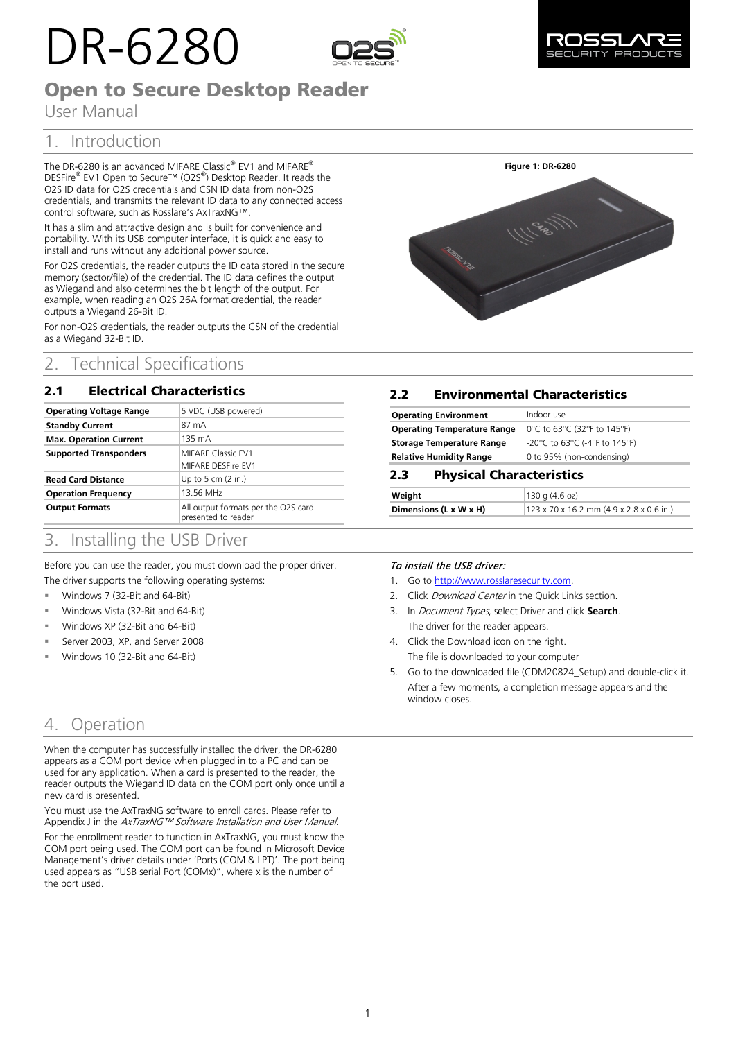# DR-6280





# Open to Secure Desktop Reader

User Manual

## 1. Introduction

The DR-6280 is an advanced MIFARE Classic® EV1 and MIFARE® DESFire® EV1 Open to Secure™ (O2S®) Desktop Reader. It reads the O2S ID data for O2S credentials and CSN ID data from non-O2S credentials, and transmits the relevant ID data to any connected access control software, such as Rosslare's AxTraxNG™.

It has a slim and attractive design and is built for convenience and portability. With its USB computer interface, it is quick and easy to install and runs without any additional power source.

For O2S credentials, the reader outputs the ID data stored in the secure memory (sector/file) of the credential. The ID data defines the output as Wiegand and also determines the bit length of the output. For example, when reading an O2S 26A format credential, the reader outputs a Wiegand 26-Bit ID.

For non-O2S credentials, the reader outputs the CSN of the credential as a Wiegand 32-Bit ID.

## 2. Technical Specifications

## 2.1 Electrical Characteristics

| <b>Operating Voltage Range</b> | 5 VDC (USB powered)                                        |
|--------------------------------|------------------------------------------------------------|
| <b>Standby Current</b>         | 87 mA                                                      |
| <b>Max. Operation Current</b>  | 135 mA                                                     |
| <b>Supported Transponders</b>  | <b>MIFARE Classic EV1</b>                                  |
|                                | MIFARE DESFire EV1                                         |
| <b>Read Card Distance</b>      | Up to 5 cm $(2 \infty)$                                    |
| <b>Operation Frequency</b>     | 13.56 MHz                                                  |
| <b>Output Formats</b>          | All output formats per the O2S card<br>presented to reader |



## 2.2 Environmental Characteristics

| <b>Operating Environment</b>       | Indoor use                    |
|------------------------------------|-------------------------------|
| <b>Operating Temperature Range</b> | 0°C to 63°C (32°F to 145°F)   |
| <b>Storage Temperature Range</b>   | -20°C to 63°C (-4°F to 145°F) |
| <b>Relative Humidity Range</b>     | 0 to 95% (non-condensing)     |

## 2.3 Physical Characteristics

| Weight                 | 130q(4.6oz)                                          |
|------------------------|------------------------------------------------------|
| Dimensions (L x W x H) | $123 \times 70 \times 16.2$ mm (4.9 x 2.8 x 0.6 in.) |
|                        |                                                      |

## 3. Installing the USB Driver

Before you can use the reader, you must download the proper driver.

- The driver supports the following operating systems:
- Windows 7 (32-Bit and 64-Bit)
- Windows Vista (32-Bit and 64-Bit)
- Windows XP (32-Bit and 64-Bit)
- Server 2003, XP, and Server 2008
- Windows 10 (32-Bit and 64-Bit)

## To install the USB driver:

- 1. Go to [http://www.rosslaresecurity.com.](http://www.rosslaresecurity.com/)
- 2. Click Download Center in the Quick Links section.
- 3. In Document Types, select Driver and click **Search**. The driver for the reader appears.
- 4. Click the Download icon on the right. The file is downloaded to your computer
- 5. Go to the downloaded file (CDM20824\_Setup) and double-click it. After a few moments, a completion message appears and the window closes.

## 4. Operation

When the computer has successfully installed the driver, the DR-6280 appears as a COM port device when plugged in to a PC and can be used for any application. When a card is presented to the reader, the reader outputs the Wiegand ID data on the COM port only once until a new card is presented.

You must use the AxTraxNG software to enroll cards. Please refer to Appendix J in the AxTraxNG™ Software Installation and User Manual.

For the enrollment reader to function in AxTraxNG, you must know the COM port being used. The COM port can be found in Microsoft Device Management's driver details under 'Ports (COM & LPT)'. The port being used appears as "USB serial Port (COMx)", where x is the number of the port used.